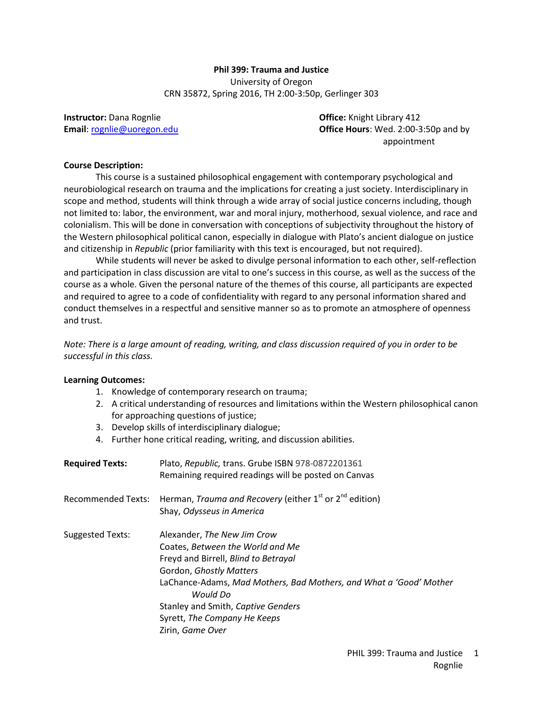# **Phil 399: Trauma and Justice** University of Oregon CRN 35872, Spring 2016, TH 2:00-3:50p, Gerlinger 303

**Instructor:** Dana Rognlie **Communist Constructor: Dana Rognlie Communist Construction: Office:** Knight Library 412

**Email**[: rognlie@uoregon.edu](mailto:rognlie@uoregon.edu) **Office Hours**: Wed. 2:00-3:50p and by appointment

#### **Course Description:**

This course is a sustained philosophical engagement with contemporary psychological and neurobiological research on trauma and the implications for creating a just society. Interdisciplinary in scope and method, students will think through a wide array of social justice concerns including, though not limited to: labor, the environment, war and moral injury, motherhood, sexual violence, and race and colonialism. This will be done in conversation with conceptions of subjectivity throughout the history of the Western philosophical political canon, especially in dialogue with Plato's ancient dialogue on justice and citizenship in *Republic* (prior familiarity with this text is encouraged, but not required).

While students will never be asked to divulge personal information to each other, self-reflection and participation in class discussion are vital to one's success in this course, as well as the success of the course as a whole. Given the personal nature of the themes of this course, all participants are expected and required to agree to a code of confidentiality with regard to any personal information shared and conduct themselves in a respectful and sensitive manner so as to promote an atmosphere of openness and trust.

*Note: There is a large amount of reading, writing, and class discussion required of you in order to be successful in this class.* 

# **Learning Outcomes:**

- 1. Knowledge of contemporary research on trauma;
- 2. A critical understanding of resources and limitations within the Western philosophical canon for approaching questions of justice;
- 3. Develop skills of interdisciplinary dialogue;
- 4. Further hone critical reading, writing, and discussion abilities.

| <b>Required Texts:</b> | Plato, Republic, trans. Grube ISBN 978-0872201361<br>Remaining required readings will be posted on Canvas                                                                                                                                                                                                      |
|------------------------|----------------------------------------------------------------------------------------------------------------------------------------------------------------------------------------------------------------------------------------------------------------------------------------------------------------|
| Recommended Texts:     | Herman, Trauma and Recovery (either $1^{st}$ or $2^{nd}$ edition)<br>Shay, Odysseus in America                                                                                                                                                                                                                 |
| Suggested Texts:       | Alexander, The New Jim Crow<br>Coates, Between the World and Me<br>Freyd and Birrell, Blind to Betrayal<br>Gordon, Ghostly Matters<br>LaChance-Adams, Mad Mothers, Bad Mothers, and What a 'Good' Mother<br>Would Do<br>Stanley and Smith, Captive Genders<br>Syrett, The Company He Keeps<br>Zirin, Game Over |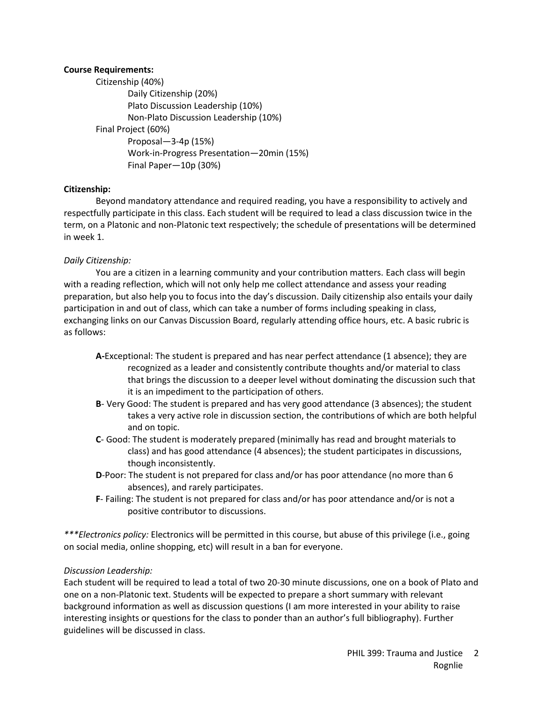# **Course Requirements:**

Citizenship (40%) Daily Citizenship (20%) Plato Discussion Leadership (10%) Non-Plato Discussion Leadership (10%) Final Project (60%) Proposal—3-4p (15%) Work-in-Progress Presentation—20min (15%) Final Paper—10p (30%)

# **Citizenship:**

Beyond mandatory attendance and required reading, you have a responsibility to actively and respectfully participate in this class. Each student will be required to lead a class discussion twice in the term, on a Platonic and non-Platonic text respectively; the schedule of presentations will be determined in week 1.

# *Daily Citizenship:*

You are a citizen in a learning community and your contribution matters. Each class will begin with a reading reflection, which will not only help me collect attendance and assess your reading preparation, but also help you to focus into the day's discussion. Daily citizenship also entails your daily participation in and out of class, which can take a number of forms including speaking in class, exchanging links on our Canvas Discussion Board, regularly attending office hours, etc. A basic rubric is as follows:

- **A-**Exceptional: The student is prepared and has near perfect attendance (1 absence); they are recognized as a leader and consistently contribute thoughts and/or material to class that brings the discussion to a deeper level without dominating the discussion such that it is an impediment to the participation of others.
- **B** Very Good: The student is prepared and has very good attendance (3 absences); the student takes a very active role in discussion section, the contributions of which are both helpful and on topic.
- **C** Good: The student is moderately prepared (minimally has read and brought materials to class) and has good attendance (4 absences); the student participates in discussions, though inconsistently.
- **D**-Poor: The student is not prepared for class and/or has poor attendance (no more than 6 absences), and rarely participates.
- **F** Failing: The student is not prepared for class and/or has poor attendance and/or is not a positive contributor to discussions.

*\*\*\*Electronics policy:* Electronics will be permitted in this course, but abuse of this privilege (i.e., going on social media, online shopping, etc) will result in a ban for everyone.

# *Discussion Leadership:*

Each student will be required to lead a total of two 20-30 minute discussions, one on a book of Plato and one on a non-Platonic text. Students will be expected to prepare a short summary with relevant background information as well as discussion questions (I am more interested in your ability to raise interesting insights or questions for the class to ponder than an author's full bibliography). Further guidelines will be discussed in class.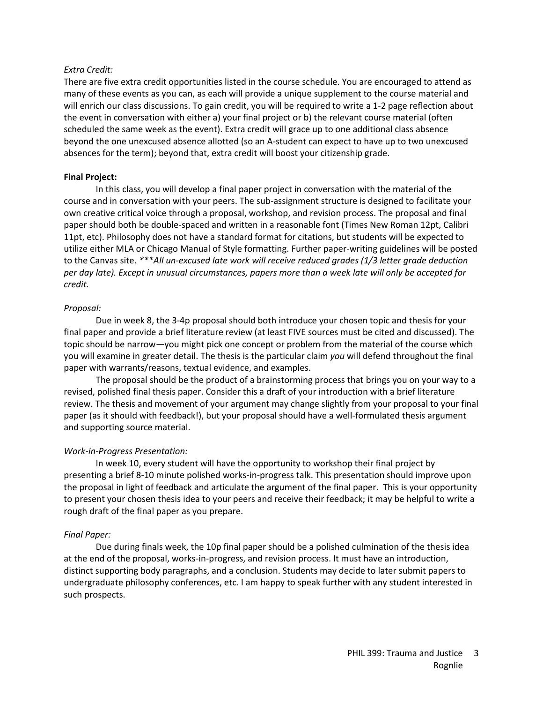#### *Extra Credit:*

There are five extra credit opportunities listed in the course schedule. You are encouraged to attend as many of these events as you can, as each will provide a unique supplement to the course material and will enrich our class discussions. To gain credit, you will be required to write a 1-2 page reflection about the event in conversation with either a) your final project or b) the relevant course material (often scheduled the same week as the event). Extra credit will grace up to one additional class absence beyond the one unexcused absence allotted (so an A-student can expect to have up to two unexcused absences for the term); beyond that, extra credit will boost your citizenship grade.

#### **Final Project:**

In this class, you will develop a final paper project in conversation with the material of the course and in conversation with your peers. The sub-assignment structure is designed to facilitate your own creative critical voice through a proposal, workshop, and revision process. The proposal and final paper should both be double-spaced and written in a reasonable font (Times New Roman 12pt, Calibri 11pt, etc). Philosophy does not have a standard format for citations, but students will be expected to utilize either MLA or Chicago Manual of Style formatting. Further paper-writing guidelines will be posted to the Canvas site. *\*\*\*All un-excused late work will receive reduced grades (1/3 letter grade deduction per day late). Except in unusual circumstances, papers more than a week late will only be accepted for credit.* 

### *Proposal:*

Due in week 8, the 3-4p proposal should both introduce your chosen topic and thesis for your final paper and provide a brief literature review (at least FIVE sources must be cited and discussed). The topic should be narrow—you might pick one concept or problem from the material of the course which you will examine in greater detail. The thesis is the particular claim *you* will defend throughout the final paper with warrants/reasons, textual evidence, and examples.

The proposal should be the product of a brainstorming process that brings you on your way to a revised, polished final thesis paper. Consider this a draft of your introduction with a brief literature review. The thesis and movement of your argument may change slightly from your proposal to your final paper (as it should with feedback!), but your proposal should have a well-formulated thesis argument and supporting source material.

# *Work-in-Progress Presentation:*

In week 10, every student will have the opportunity to workshop their final project by presenting a brief 8-10 minute polished works-in-progress talk. This presentation should improve upon the proposal in light of feedback and articulate the argument of the final paper. This is your opportunity to present your chosen thesis idea to your peers and receive their feedback; it may be helpful to write a rough draft of the final paper as you prepare.

#### *Final Paper:*

Due during finals week, the 10p final paper should be a polished culmination of the thesis idea at the end of the proposal, works-in-progress, and revision process. It must have an introduction, distinct supporting body paragraphs, and a conclusion. Students may decide to later submit papers to undergraduate philosophy conferences, etc. I am happy to speak further with any student interested in such prospects.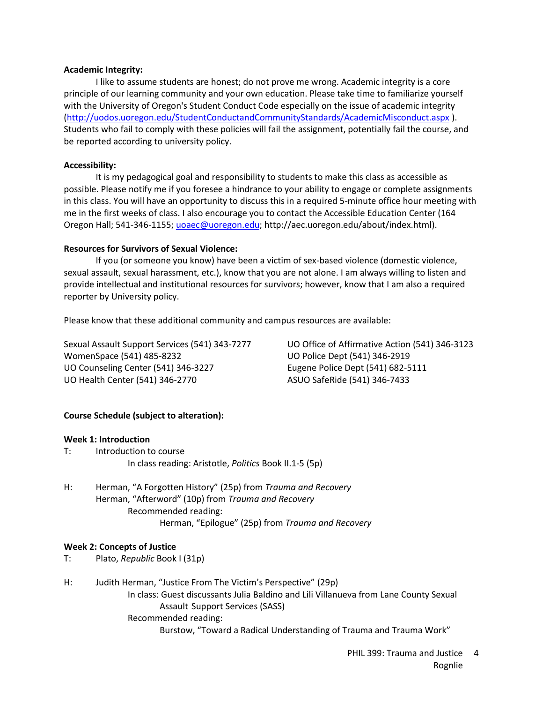### **Academic Integrity:**

I like to assume students are honest; do not prove me wrong. Academic integrity is a core principle of our learning community and your own education. Please take time to familiarize yourself with the University of Oregon's Student Conduct Code especially on the issue of academic integrity [\(http://uodos.uoregon.edu/StudentConductandCommunityStandards/AcademicMisconduct.aspx](http://uodos.uoregon.edu/StudentConductandCommunityStandards/AcademicMisconduct.aspx) ). Students who fail to comply with these policies will fail the assignment, potentially fail the course, and be reported according to university policy.

# **Accessibility:**

It is my pedagogical goal and responsibility to students to make this class as accessible as possible. Please notify me if you foresee a hindrance to your ability to engage or complete assignments in this class. You will have an opportunity to discuss this in a required 5-minute office hour meeting with me in the first weeks of class. I also encourage you to contact the Accessible Education Center (164 Oregon Hall; 541-346-1155; [uoaec@uoregon.edu;](mailto:uoaec@uoregon.edu) http://aec.uoregon.edu/about/index.html).

### **Resources for Survivors of Sexual Violence:**

If you (or someone you know) have been a victim of sex-based violence (domestic violence, sexual assault, sexual harassment, etc.), know that you are not alone. I am always willing to listen and provide intellectual and institutional resources for survivors; however, know that I am also a required reporter by University policy.

Please know that these additional community and campus resources are available:

WomenSpace (541) 485-8232 UO Police Dept (541) 346-2919 UO Counseling Center (541) 346-3227 Eugene Police Dept (541) 682-5111 UO Health Center (541) 346-2770 ASUO SafeRide (541) 346-7433

Sexual Assault Support Services (541) 343-7277 UO Office of Affirmative Action (541) 346-3123

# **Course Schedule (subject to alteration):**

#### **Week 1: Introduction**

- T: Introduction to course In class reading: Aristotle, *Politics* Book II.1-5 (5p)
- H: Herman, "A Forgotten History" (25p) from *Trauma and Recovery* Herman, "Afterword" (10p) from *Trauma and Recovery* Recommended reading: Herman, "Epilogue" (25p) from *Trauma and Recovery*

#### **Week 2: Concepts of Justice**

- T: Plato, *Republic* Book I (31p)
- H: Judith Herman, "Justice From The Victim's Perspective" (29p) In class: Guest discussants Julia Baldino and Lili Villanueva from Lane County Sexual Assault Support Services (SASS) Recommended reading: Burstow, "Toward a Radical Understanding of Trauma and Trauma Work"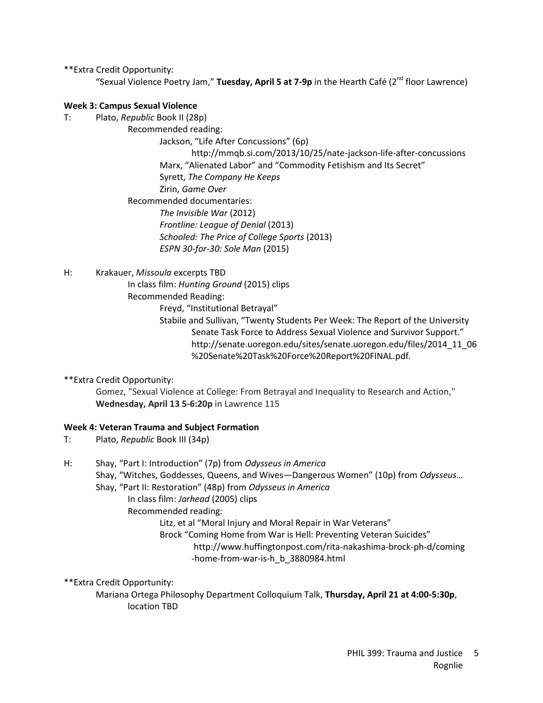\*\*Extra Credit Opportunity:

"Sexual Violence Poetry Jam," **Tuesday, April 5 at 7-9p** in the Hearth Café (2<sup>nd</sup> floor Lawrence)

# **Week 3: Campus Sexual Violence**

- T: Plato, *Republic* Book II (28p)
	- Recommended reading:

Jackson, "Life After Concussions" (6p)

http://mmqb.si.com/2013/10/25/nate-jackson-life-after-concussions Marx, "Alienated Labor" and "Commodity Fetishism and Its Secret" Syrett, *The Company He Keeps* Zirin, *Game Over* Recommended documentaries:

*The Invisible War* (2012) *Frontline: League of Denial* (2013) *Schooled: The Price of College Sports* (2013) *ESPN 30-for-30: Sole Man* (2015)

H: Krakauer, *Missoula* excerpts TBD

In class film: *Hunting Ground* (2015) clips

Recommended Reading:

Freyd, "Institutional Betrayal"

Stabile and Sullivan, "Twenty Students Per Week: The Report of the University Senate Task Force to Address Sexual Violence and Survivor Support." http://senate.uoregon.edu/sites/senate.uoregon.edu/files/2014\_11\_06 %20Senate%20Task%20Force%20Report%20FINAL.pdf.

\*\*Extra Credit Opportunity:

Gomez, "Sexual Violence at College: From Betrayal and Inequality to Research and Action," **Wednesday, April 13 5-6:20p** in Lawrence 115

# **Week 4: Veteran Trauma and Subject Formation**

- T: Plato, *Republic* Book III (34p)
- H: Shay, "Part I: Introduction" (7p) from *Odysseus in America* Shay, "Witches, Goddesses, Queens, and Wives—Dangerous Women" (10p) from *Odysseus…* Shay, "Part II: Restoration" (48p) from *Odysseus in America* In class film: *Jarhead* (2005) clips Recommended reading: Litz, et al "Moral Injury and Moral Repair in War Veterans" Brock "Coming Home from War is Hell: Preventing Veteran Suicides" http://www.huffingtonpost.com/rita-nakashima-brock-ph-d/coming -home-from-war-is-h\_b\_3880984.html

\*\*Extra Credit Opportunity:

Mariana Ortega Philosophy Department Colloquium Talk, **Thursday, April 21 at 4:00-5:30p**, location TBD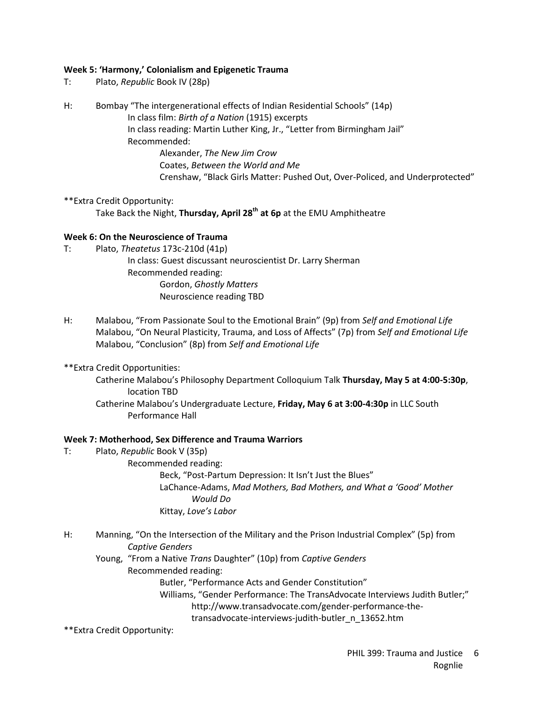# **Week 5: 'Harmony,' Colonialism and Epigenetic Trauma**

- T: Plato, *Republic* Book IV (28p)
- H: Bombay "The intergenerational effects of Indian Residential Schools" (14p) In class film: *Birth of a Nation* (1915) excerpts In class reading: Martin Luther King, Jr., "Letter from Birmingham Jail" Recommended: Alexander, *The New Jim Crow* Coates, *Between the World and Me* Crenshaw, "Black Girls Matter: Pushed Out, Over-Policed, and Underprotected"
- \*\*Extra Credit Opportunity: Take Back the Night, **Thursday, April 28th at 6p** at the EMU Amphitheatre

### **Week 6: On the Neuroscience of Trauma**

- T: Plato, *Theatetus* 173c-210d (41p)
	- In class: Guest discussant neuroscientist Dr. Larry Sherman Recommended reading: Gordon, *Ghostly Matters* Neuroscience reading TBD
- H: Malabou, "From Passionate Soul to the Emotional Brain" (9p) from *Self and Emotional Life* Malabou, "On Neural Plasticity, Trauma, and Loss of Affects" (7p) from *Self and Emotional Life* Malabou, "Conclusion" (8p) from *Self and Emotional Life*
- \*\*Extra Credit Opportunities:
	- Catherine Malabou's Philosophy Department Colloquium Talk **Thursday, May 5 at 4:00-5:30p**, location TBD Catherine Malabou's Undergraduate Lecture, **Friday, May 6 at 3:00-4:30p** in LLC South
		- Performance Hall

#### **Week 7: Motherhood, Sex Difference and Trauma Warriors**

T: Plato, *Republic* Book V (35p) Recommended reading: Beck, "Post-Partum Depression: It Isn't Just the Blues" LaChance-Adams, *Mad Mothers, Bad Mothers, and What a 'Good' Mother Would Do*

Kittay, *Love's Labor*

- H: Manning, "On the Intersection of the Military and the Prison Industrial Complex" (5p) from *Captive Genders*
	- Young, "From a Native *Trans* Daughter" (10p) from *Captive Genders*
		- Recommended reading:

Butler, "Performance Acts and Gender Constitution"

Williams, "Gender Performance: The TransAdvocate Interviews Judith Butler;" http://www.transadvocate.com/gender-performance-the-

transadvocate-interviews-judith-butler\_n\_13652.htm

\*\*Extra Credit Opportunity: